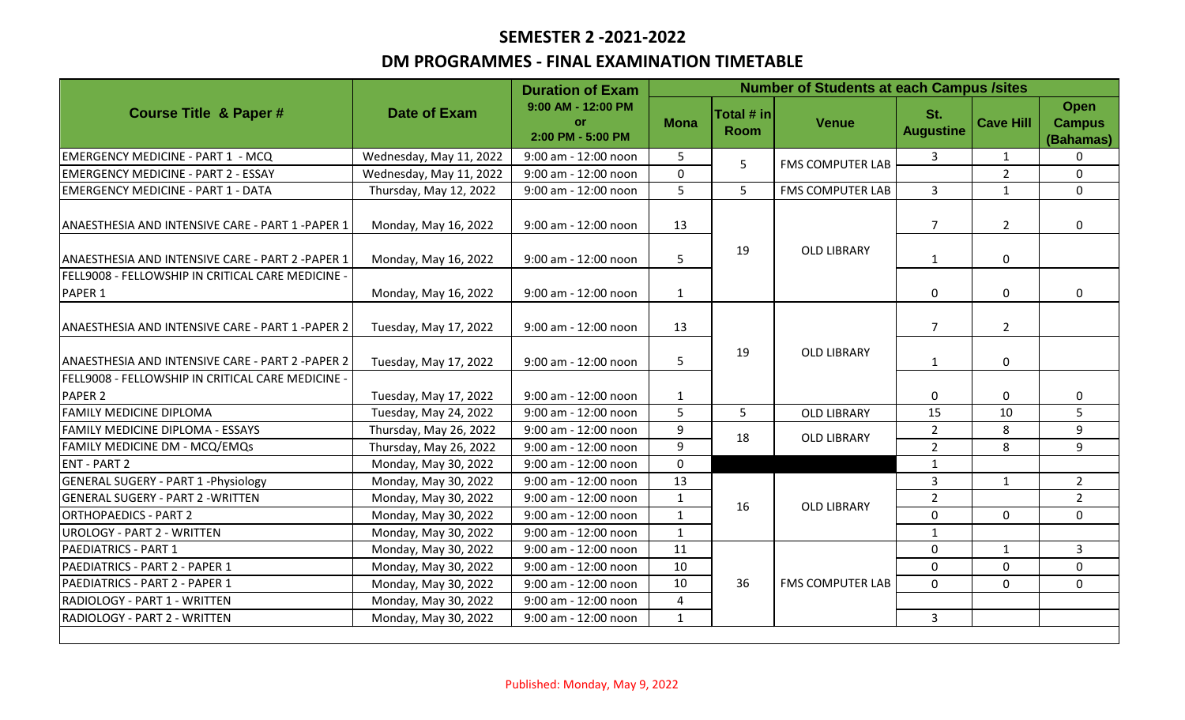# **SEMESTER 2 -2021-2022**

### **DM PROGRAMMES - FINAL EXAMINATION TIMETABLE**

| <b>Course Title &amp; Paper#</b>                             | <b>Date of Exam</b>     | <b>Duration of Exam</b><br>9:00 AM - 12:00 PM<br><b>or</b><br>2:00 PM - 5:00 PM | <b>Number of Students at each Campus /sites</b> |                           |                         |                         |                  |                                    |
|--------------------------------------------------------------|-------------------------|---------------------------------------------------------------------------------|-------------------------------------------------|---------------------------|-------------------------|-------------------------|------------------|------------------------------------|
|                                                              |                         |                                                                                 | <b>Mona</b>                                     | Total # in<br><b>Room</b> | <b>Venue</b>            | St.<br><b>Augustine</b> | <b>Cave Hill</b> | Open<br><b>Campus</b><br>(Bahamas) |
| <b>EMERGENCY MEDICINE - PART 1 - MCQ</b>                     | Wednesday, May 11, 2022 | 9:00 am - 12:00 noon                                                            | 5                                               | 5                         | <b>FMS COMPUTER LAB</b> | 3                       | $\mathbf{1}$     | $\mathbf{0}$                       |
| <b>EMERGENCY MEDICINE - PART 2 - ESSAY</b>                   | Wednesday, May 11, 2022 | 9:00 am - 12:00 noon                                                            | $\mathbf{0}$                                    |                           |                         |                         | $\overline{2}$   | $\mathbf 0$                        |
| <b>EMERGENCY MEDICINE - PART 1 - DATA</b>                    | Thursday, May 12, 2022  | 9:00 am - 12:00 noon                                                            | 5                                               | 5                         | <b>FMS COMPUTER LAB</b> | 3                       | $\mathbf{1}$     | $\mathbf 0$                        |
| ANAESTHESIA AND INTENSIVE CARE - PART 1 - PAPER 1            | Monday, May 16, 2022    | 9:00 am - 12:00 noon                                                            | 13                                              | 19                        | <b>OLD LIBRARY</b>      | $\overline{7}$          | $\overline{2}$   | $\mathbf 0$                        |
| ANAESTHESIA AND INTENSIVE CARE - PART 2 - PAPER 1            | Monday, May 16, 2022    | 9:00 am - 12:00 noon                                                            | 5                                               |                           |                         | $\mathbf{1}$            | $\pmb{0}$        |                                    |
| FELL9008 - FELLOWSHIP IN CRITICAL CARE MEDICINE -<br>PAPER 1 | Monday, May 16, 2022    | 9:00 am - 12:00 noon                                                            | $\mathbf{1}$                                    |                           |                         | 0                       | $\mathbf 0$      | $\mathbf{0}$                       |
| ANAESTHESIA AND INTENSIVE CARE - PART 1 - PAPER 2            | Tuesday, May 17, 2022   | 9:00 am - 12:00 noon                                                            | 13                                              | 19                        | <b>OLD LIBRARY</b>      | $\overline{7}$          | $\overline{2}$   |                                    |
| ANAESTHESIA AND INTENSIVE CARE - PART 2 - PAPER 2            | Tuesday, May 17, 2022   | 9:00 am - 12:00 noon                                                            | 5                                               |                           |                         | 1                       | $\mathbf 0$      |                                    |
| FELL9008 - FELLOWSHIP IN CRITICAL CARE MEDICINE -            |                         |                                                                                 |                                                 |                           |                         |                         |                  |                                    |
| <b>PAPER 2</b>                                               | Tuesday, May 17, 2022   | 9:00 am - 12:00 noon                                                            | 1                                               |                           |                         | 0                       | 0                | 0                                  |
| <b>FAMILY MEDICINE DIPLOMA</b>                               | Tuesday, May 24, 2022   | 9:00 am - 12:00 noon                                                            | 5                                               | 5                         | <b>OLD LIBRARY</b>      | 15                      | 10               | 5                                  |
| FAMILY MEDICINE DIPLOMA - ESSAYS                             | Thursday, May 26, 2022  | 9:00 am - 12:00 noon                                                            | 9                                               | 18                        | <b>OLD LIBRARY</b>      | $\overline{2}$          | 8                | 9                                  |
| FAMILY MEDICINE DM - MCQ/EMQs                                | Thursday, May 26, 2022  | 9:00 am - 12:00 noon                                                            | 9                                               |                           |                         | $\overline{2}$          | 8                | 9                                  |
| <b>ENT - PART 2</b>                                          | Monday, May 30, 2022    | 9:00 am - 12:00 noon                                                            | $\mathbf 0$                                     |                           |                         | $\mathbf{1}$            |                  |                                    |
| <b>GENERAL SUGERY - PART 1 - Physiology</b>                  | Monday, May 30, 2022    | 9:00 am - 12:00 noon                                                            | 13                                              |                           | <b>OLD LIBRARY</b>      | 3                       | $\mathbf{1}$     | $\overline{2}$                     |
| <b>GENERAL SUGERY - PART 2 - WRITTEN</b>                     | Monday, May 30, 2022    | 9:00 am - 12:00 noon                                                            | $\mathbf{1}$                                    | 16                        |                         | $\overline{2}$          |                  | $\overline{2}$                     |
| <b>ORTHOPAEDICS - PART 2</b>                                 | Monday, May 30, 2022    | 9:00 am - 12:00 noon                                                            | $\mathbf{1}$                                    |                           |                         | $\mathbf 0$             | $\mathbf 0$      | $\mathbf 0$                        |
| <b>UROLOGY - PART 2 - WRITTEN</b>                            | Monday, May 30, 2022    | 9:00 am - 12:00 noon                                                            | $\mathbf{1}$                                    |                           |                         | $\mathbf 1$             |                  |                                    |
| PAEDIATRICS - PART 1                                         | Monday, May 30, 2022    | 9:00 am - 12:00 noon                                                            | 11                                              | 36                        | <b>FMS COMPUTER LAB</b> | $\mathbf 0$             | $\mathbf{1}$     | $\overline{3}$                     |
| PAEDIATRICS - PART 2 - PAPER 1                               | Monday, May 30, 2022    | 9:00 am - 12:00 noon                                                            | 10                                              |                           |                         | $\mathbf 0$             | $\mathbf 0$      | $\mathbf 0$                        |
| PAEDIATRICS - PART 2 - PAPER 1                               | Monday, May 30, 2022    | 9:00 am - 12:00 noon                                                            | 10                                              |                           |                         | $\mathbf{0}$            | $\mathbf{0}$     | $\mathbf 0$                        |
| RADIOLOGY - PART 1 - WRITTEN                                 | Monday, May 30, 2022    | 9:00 am - 12:00 noon                                                            | 4                                               |                           |                         |                         |                  |                                    |
| RADIOLOGY - PART 2 - WRITTEN                                 | Monday, May 30, 2022    | 9:00 am - 12:00 noon                                                            | $\mathbf{1}$                                    |                           |                         | 3                       |                  |                                    |
|                                                              |                         |                                                                                 |                                                 |                           |                         |                         |                  |                                    |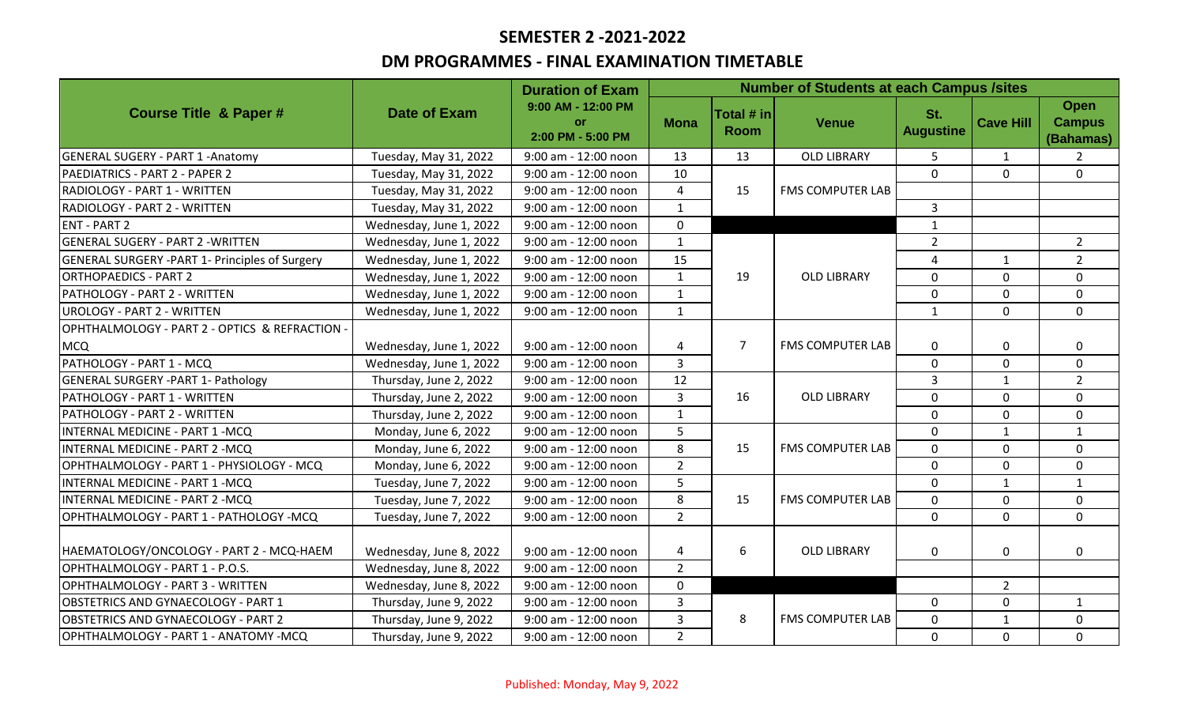# **SEMESTER 2 -2021-2022**

## **DM PROGRAMMES - FINAL EXAMINATION TIMETABLE**

|                                                       | <b>Date of Exam</b>     | <b>Duration of Exam</b><br>9:00 AM - 12:00 PM<br>or<br>2:00 PM - 5:00 PM | <b>Number of Students at each Campus /sites</b> |                           |                         |                         |                  |                                           |
|-------------------------------------------------------|-------------------------|--------------------------------------------------------------------------|-------------------------------------------------|---------------------------|-------------------------|-------------------------|------------------|-------------------------------------------|
| <b>Course Title &amp; Paper#</b>                      |                         |                                                                          | <b>Mona</b>                                     | Total # in<br><b>Room</b> | <b>Venue</b>            | St.<br><b>Augustine</b> | <b>Cave Hill</b> | <b>Open</b><br><b>Campus</b><br>(Bahamas) |
| <b>GENERAL SUGERY - PART 1 - Anatomy</b>              | Tuesday, May 31, 2022   | 9:00 am - 12:00 noon                                                     | 13                                              | 13                        | <b>OLD LIBRARY</b>      | 5                       | $\mathbf{1}$     | $\overline{2}$                            |
| PAEDIATRICS - PART 2 - PAPER 2                        | Tuesday, May 31, 2022   | 9:00 am - 12:00 noon                                                     | 10                                              | 15                        | FMS COMPUTER LAB        | $\Omega$                | $\mathbf{0}$     | $\Omega$                                  |
| RADIOLOGY - PART 1 - WRITTEN                          | Tuesday, May 31, 2022   | 9:00 am - 12:00 noon                                                     | $\overline{4}$                                  |                           |                         |                         |                  |                                           |
| RADIOLOGY - PART 2 - WRITTEN                          | Tuesday, May 31, 2022   | 9:00 am - 12:00 noon                                                     | $\mathbf{1}$                                    |                           |                         | 3                       |                  |                                           |
| <b>ENT - PART 2</b>                                   | Wednesday, June 1, 2022 | 9:00 am - 12:00 noon                                                     | $\mathbf 0$                                     |                           |                         | $\mathbf{1}$            |                  |                                           |
| <b>GENERAL SUGERY - PART 2 - WRITTEN</b>              | Wednesday, June 1, 2022 | 9:00 am - 12:00 noon                                                     | $\mathbf{1}$                                    |                           | <b>OLD LIBRARY</b>      | $\overline{2}$          |                  | $\overline{2}$                            |
| <b>GENERAL SURGERY -PART 1- Principles of Surgery</b> | Wednesday, June 1, 2022 | 9:00 am - 12:00 noon                                                     | 15                                              |                           |                         | 4                       | $\mathbf{1}$     | $\overline{2}$                            |
| <b>ORTHOPAEDICS - PART 2</b>                          | Wednesday, June 1, 2022 | 9:00 am - 12:00 noon                                                     | $\mathbf{1}$                                    | 19                        |                         | 0                       | $\mathbf 0$      | $\mathbf 0$                               |
| PATHOLOGY - PART 2 - WRITTEN                          | Wednesday, June 1, 2022 | 9:00 am - 12:00 noon                                                     | $\mathbf{1}$                                    |                           |                         | 0                       | $\mathbf 0$      | $\mathbf 0$                               |
| <b>UROLOGY - PART 2 - WRITTEN</b>                     | Wednesday, June 1, 2022 | 9:00 am - 12:00 noon                                                     | $\mathbf{1}$                                    |                           |                         | $\mathbf{1}$            | $\Omega$         | $\Omega$                                  |
| OPHTHALMOLOGY - PART 2 - OPTICS & REFRACTION -        |                         |                                                                          |                                                 |                           |                         |                         |                  |                                           |
| <b>MCQ</b>                                            | Wednesday, June 1, 2022 | 9:00 am - 12:00 noon                                                     | $\overline{4}$                                  | $\overline{7}$            | FMS COMPUTER LAB        | 0                       | $\mathbf 0$      | $\mathbf{0}$                              |
| PATHOLOGY - PART 1 - MCQ                              | Wednesday, June 1, 2022 | 9:00 am - 12:00 noon                                                     | $\overline{3}$                                  |                           |                         | $\Omega$                | $\mathbf 0$      | $\mathbf{0}$                              |
| <b>GENERAL SURGERY - PART 1- Pathology</b>            | Thursday, June 2, 2022  | 9:00 am - 12:00 noon                                                     | 12                                              |                           | <b>OLD LIBRARY</b>      | 3                       | $\mathbf{1}$     | $\overline{2}$                            |
| PATHOLOGY - PART 1 - WRITTEN                          | Thursday, June 2, 2022  | 9:00 am - 12:00 noon                                                     | $\overline{3}$                                  | 16                        |                         | 0                       | $\mathbf 0$      | $\mathbf 0$                               |
| PATHOLOGY - PART 2 - WRITTEN                          | Thursday, June 2, 2022  | 9:00 am - 12:00 noon                                                     | $\mathbf{1}$                                    |                           |                         | 0                       | $\mathbf 0$      | $\mathbf 0$                               |
| INTERNAL MEDICINE - PART 1 -MCQ                       | Monday, June 6, 2022    | 9:00 am - 12:00 noon                                                     | 5                                               | 15                        | <b>FMS COMPUTER LAB</b> | 0                       | $\mathbf{1}$     | $\mathbf{1}$                              |
| INTERNAL MEDICINE - PART 2 -MCQ                       | Monday, June 6, 2022    | 9:00 am - 12:00 noon                                                     | 8                                               |                           |                         | 0                       | $\Omega$         | $\Omega$                                  |
| OPHTHALMOLOGY - PART 1 - PHYSIOLOGY - MCQ             | Monday, June 6, 2022    | 9:00 am - 12:00 noon                                                     | $\overline{2}$                                  |                           |                         | 0                       | $\mathbf 0$      | $\mathbf 0$                               |
| INTERNAL MEDICINE - PART 1 -MCQ                       | Tuesday, June 7, 2022   | 9:00 am - 12:00 noon                                                     | 5                                               |                           |                         | 0                       | $\mathbf{1}$     | $\mathbf{1}$                              |
| INTERNAL MEDICINE - PART 2 -MCQ                       | Tuesday, June 7, 2022   | 9:00 am - 12:00 noon                                                     | 8                                               | 15                        | <b>FMS COMPUTER LAB</b> | 0                       | $\mathbf 0$      | $\mathbf 0$                               |
| OPHTHALMOLOGY - PART 1 - PATHOLOGY -MCQ               | Tuesday, June 7, 2022   | 9:00 am - 12:00 noon                                                     | $\overline{2}$                                  |                           |                         | 0                       | $\mathbf 0$      | 0                                         |
| HAEMATOLOGY/ONCOLOGY - PART 2 - MCQ-HAEM              | Wednesday, June 8, 2022 | 9:00 am - 12:00 noon                                                     | 4                                               | 6                         | <b>OLD LIBRARY</b>      | 0                       | $\mathbf 0$      | $\mathbf{0}$                              |
| OPHTHALMOLOGY - PART 1 - P.O.S.                       | Wednesday, June 8, 2022 | 9:00 am - 12:00 noon                                                     | $\overline{2}$                                  |                           |                         |                         |                  |                                           |
| OPHTHALMOLOGY - PART 3 - WRITTEN                      | Wednesday, June 8, 2022 | 9:00 am - 12:00 noon                                                     | $\mathbf 0$                                     |                           |                         |                         | $\overline{2}$   |                                           |
| <b>OBSTETRICS AND GYNAECOLOGY - PART 1</b>            | Thursday, June 9, 2022  | 9:00 am - 12:00 noon                                                     | $\overline{3}$                                  | 8                         | <b>FMS COMPUTER LAB</b> | $\mathbf 0$             | $\mathbf 0$      | $\mathbf{1}$                              |
| OBSTETRICS AND GYNAECOLOGY - PART 2                   | Thursday, June 9, 2022  | 9:00 am - 12:00 noon                                                     | $\overline{3}$                                  |                           |                         | 0                       | $\mathbf{1}$     | $\mathbf{0}$                              |
| OPHTHALMOLOGY - PART 1 - ANATOMY -MCQ                 | Thursday, June 9, 2022  | 9:00 am - 12:00 noon                                                     | $\overline{2}$                                  |                           |                         | 0                       | $\mathbf 0$      | $\mathbf 0$                               |